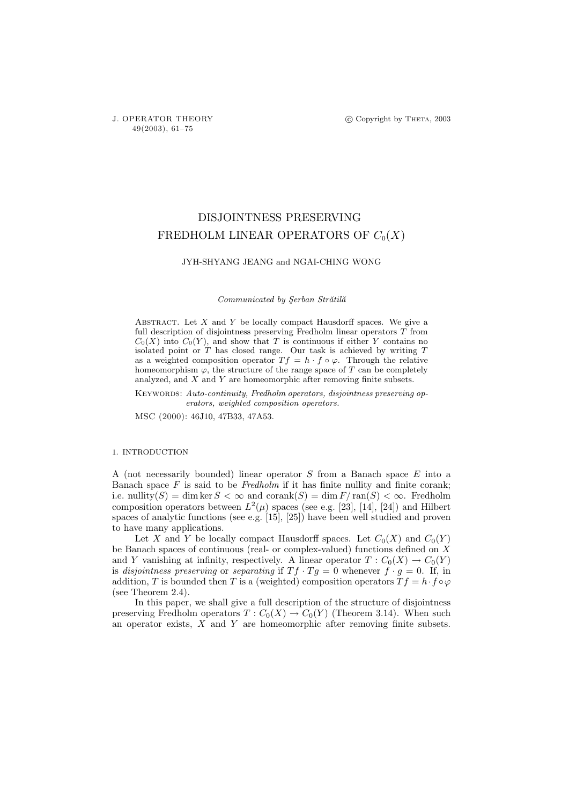# DISJOINTNESS PRESERVING FREDHOLM LINEAR OPERATORS OF  $C_0(X)$

## JYH-SHYANG JEANG and NGAI-CHING WONG

#### Communicated by Şerban Strătilă

ABSTRACT. Let  $X$  and  $Y$  be locally compact Hausdorff spaces. We give a full description of disjointness preserving Fredholm linear operators  $\overline{T}$  from  $C_0(X)$  into  $C_0(Y)$ , and show that T is continuous if either Y contains no isolated point or  $T$  has closed range. Our task is achieved by writing  $T$ as a weighted composition operator  $T f = h \cdot f \circ \varphi$ . Through the relative homeomorphism  $\varphi$ , the structure of the range space of T can be completely analyzed, and X and Y are homeomorphic after removing finite subsets.

KEYWORDS: Auto-continuity, Fredholm operators, disjointness preserving operators, weighted composition operators.

MSC (2000): 46J10, 47B33, 47A53.

#### 1. INTRODUCTION

A (not necessarily bounded) linear operator S from a Banach space E into a Banach space  $F$  is said to be Fredholm if it has finite nullity and finite corank; i.e. nullity(S) = dim ker  $S < \infty$  and corank(S) = dim  $F/\text{ran}(S) < \infty$ . Fredholm composition operators between  $L^2(\mu)$  spaces (see e.g. [23], [14], [24]) and Hilbert spaces of analytic functions (see e.g. [15], [25]) have been well studied and proven to have many applications.

Let X and Y be locally compact Hausdorff spaces. Let  $C_0(X)$  and  $C_0(Y)$ be Banach spaces of continuous (real- or complex-valued) functions defined on X and Y vanishing at infinity, respectively. A linear operator  $T: C_0(X) \to C_0(Y)$ is disjointness preserving or separating if  $Tf \cdot Tg = 0$  whenever  $f \cdot g = 0$ . If, in addition, T is bounded then T is a (weighted) composition operators  $T f = h \cdot f \circ \varphi$ (see Theorem 2.4).

In this paper, we shall give a full description of the structure of disjointness preserving Fredholm operators  $T: C_0(X) \to C_0(Y)$  (Theorem 3.14). When such an operator exists,  $X$  and  $Y$  are homeomorphic after removing finite subsets.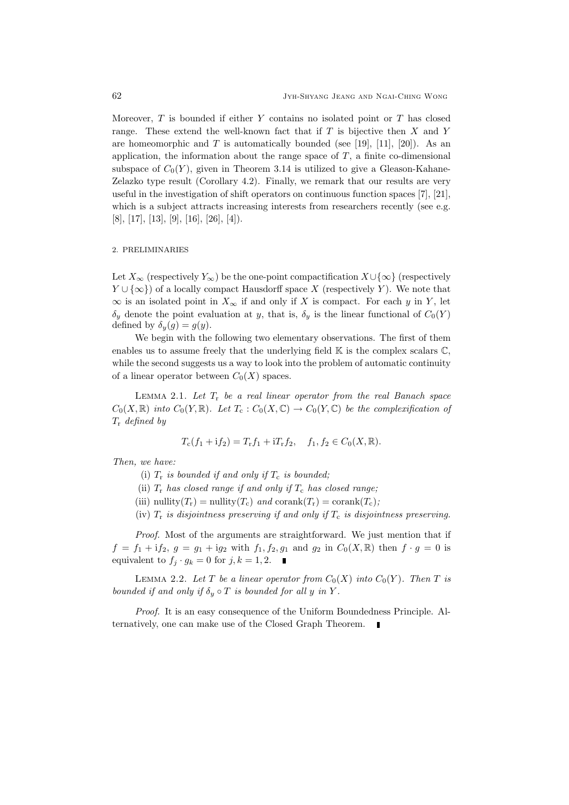Moreover,  $T$  is bounded if either  $Y$  contains no isolated point or  $T$  has closed range. These extend the well-known fact that if  $T$  is bijective then  $X$  and  $Y$ are homeomorphic and T is automatically bounded (see [19], [11], [20]). As an application, the information about the range space of  $T$ , a finite co-dimensional subspace of  $C_0(Y)$ , given in Theorem 3.14 is utilized to give a Gleason-Kahane-Zelazko type result (Corollary 4.2). Finally, we remark that our results are very useful in the investigation of shift operators on continuous function spaces [7], [21], which is a subject attracts increasing interests from researchers recently (see e.g. [8], [17], [13], [9], [16], [26], [4]).

## 2. PRELIMINARIES

Let  $X_{\infty}$  (respectively  $Y_{\infty}$ ) be the one-point compactification  $X \cup {\infty}$  (respectively  $Y \cup \{\infty\}$  of a locally compact Hausdorff space X (respectively Y). We note that  $\infty$  is an isolated point in  $X_{\infty}$  if and only if X is compact. For each y in Y, let  $\delta_y$  denote the point evaluation at y, that is,  $\delta_y$  is the linear functional of  $C_0(Y)$ defined by  $\delta_y(g) = g(y)$ .

We begin with the following two elementary observations. The first of them enables us to assume freely that the underlying field  $\mathbb K$  is the complex scalars  $\mathbb C$ , while the second suggests us a way to look into the problem of automatic continuity of a linear operator between  $C_0(X)$  spaces.

LEMMA 2.1. Let  $T_r$  be a real linear operator from the real Banach space  $C_0(X,\mathbb{R})$  into  $C_0(Y,\mathbb{R})$ . Let  $T_c: C_0(X,\mathbb{C}) \to C_0(Y,\mathbb{C})$  be the complexification of  $T_{\rm r}$  defined by

$$
T_{\rm c}(f_1 + {\rm i}f_2) = T_{\rm r}f_1 + {\rm i}T_{\rm r}f_2, \quad f_1, f_2 \in C_0(X, \mathbb{R}).
$$

Then, we have:

- (i)  $T_r$  is bounded if and only if  $T_c$  is bounded;
- (ii)  $T_r$  has closed range if and only if  $T_c$  has closed range:
- (iii) nullity( $T_r$ ) = nullity( $T_c$ ) and corank( $T_r$ ) = corank( $T_c$ );
- (iv)  $T_r$  is disjointness preserving if and only if  $T_c$  is disjointness preserving.

Proof. Most of the arguments are straightforward. We just mention that if  $f = f_1 + if_2, g = g_1 + ig_2$  with  $f_1, f_2, g_1$  and  $g_2$  in  $C_0(X, \mathbb{R})$  then  $f \cdot g = 0$  is equivalent to  $f_j \cdot g_k = 0$  for  $j, k = 1, 2$ .

LEMMA 2.2. Let T be a linear operator from  $C_0(X)$  into  $C_0(Y)$ . Then T is bounded if and only if  $\delta_y \circ T$  is bounded for all y in Y.

Proof. It is an easy consequence of the Uniform Boundedness Principle. Alternatively, one can make use of the Closed Graph Theorem.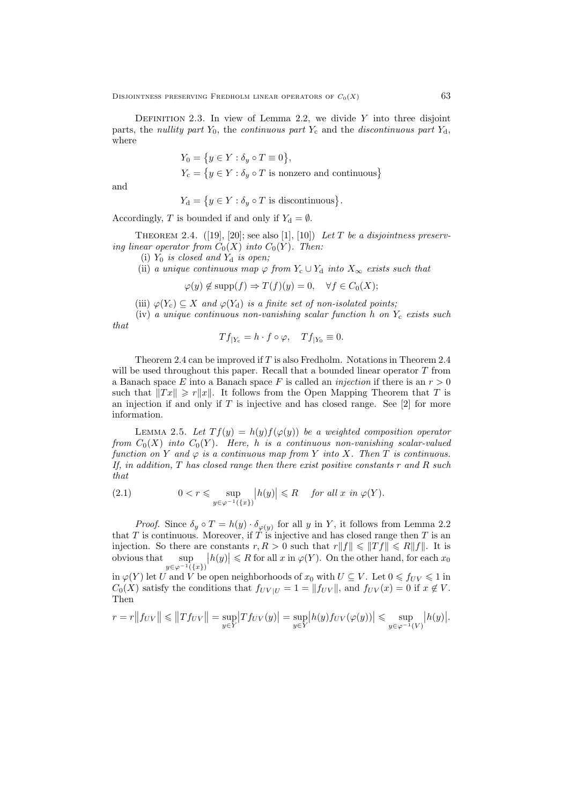DEFINITION 2.3. In view of Lemma 2.2, we divide  $Y$  into three disjoint parts, the nullity part  $Y_0$ , the continuous part  $Y_c$  and the discontinuous part  $Y_d$ , where

$$
Y_0 = \{ y \in Y : \delta_y \circ T \equiv 0 \},
$$
  

$$
Y_c = \{ y \in Y : \delta_y \circ T \text{ is nonzero and continuous} \}
$$

and

$$
Y_{\mathbf{d}} = \{ y \in Y : \delta_y \circ T \text{ is discontinuous} \}.
$$

Accordingly, T is bounded if and only if  $Y_d = \emptyset$ .

THEOREM 2.4.  $([19], [20]; \text{ see also } [1], [10])$  Let T be a disjointness preserving linear operator from  $C_0(X)$  into  $C_0(Y)$ . Then:

(i)  $Y_0$  is closed and  $Y_d$  is open;

(ii) a unique continuous map  $\varphi$  from  $Y_c \cup Y_d$  into  $X_\infty$  exists such that

$$
\varphi(y) \notin \text{supp}(f) \Rightarrow T(f)(y) = 0, \quad \forall f \in C_0(X);
$$

(iii)  $\varphi(Y_c) \subseteq X$  and  $\varphi(Y_d)$  is a finite set of non-isolated points;

(iv) a unique continuous non-vanishing scalar function h on  $Y_c$  exists such that

$$
Tf_{|Y_c} = h \cdot f \circ \varphi, \quad Tf_{|Y_0} \equiv 0.
$$

Theorem 2.4 can be improved if  $T$  is also Fredholm. Notations in Theorem 2.4 will be used throughout this paper. Recall that a bounded linear operator  $T$  from a Banach space E into a Banach space F is called an *injection* if there is an  $r > 0$ such that  $||Tx|| \ge r||x||$ . It follows from the Open Mapping Theorem that T is an injection if and only if  $T$  is injective and has closed range. See [2] for more information.

LEMMA 2.5. Let  $Tf(y) = h(y)f(\varphi(y))$  be a weighted composition operator from  $C_0(X)$  into  $C_0(Y)$ . Here, h is a continuous non-vanishing scalar-valued function on Y and  $\varphi$  is a continuous map from Y into X. Then T is continuous. If, in addition,  $T$  has closed range then there exist positive constants  $r$  and  $R$  such that

(2.1) 
$$
0 < r \leqslant \sup_{y \in \varphi^{-1}(\{x\})} |h(y)| \leqslant R \quad \text{for all } x \text{ in } \varphi(Y).
$$

*Proof.* Since  $\delta_y \circ T = h(y) \cdot \delta_{\varphi(y)}$  for all y in Y, it follows from Lemma 2.2 that  $T$  is continuous. Moreover, if  $T$  is injective and has closed range then  $T$  is an injection. So there are constants  $r, R > 0$  such that  $r||f|| \leq ||Tf|| \leq R||f||$ . It is obvious that  $y \in \varphi^{-1}(\{x\})$  $|h(y)| \le R$  for all x in  $\varphi(Y)$ . On the other hand, for each  $x_0$ in  $\varphi(Y)$  let U and V be open neighborhoods of  $x_0$  with  $U \subseteq V$ . Let  $0 \leq \overline{f_{UV}} \leq 1$  in

 $C_0(X)$  satisfy the conditions that  $f_{UV|U} = 1 = ||f_{UV}||$ , and  $f_{UV}(x) = 0$  if  $x \notin V$ . Then

$$
r = r||f_{UV}|| \le ||Tf_{UV}|| = \sup_{y \in Y} |Tf_{UV}(y)| = \sup_{y \in Y} |h(y)f_{UV}(\varphi(y))| \le \sup_{y \in \varphi^{-1}(V)} |h(y)|.
$$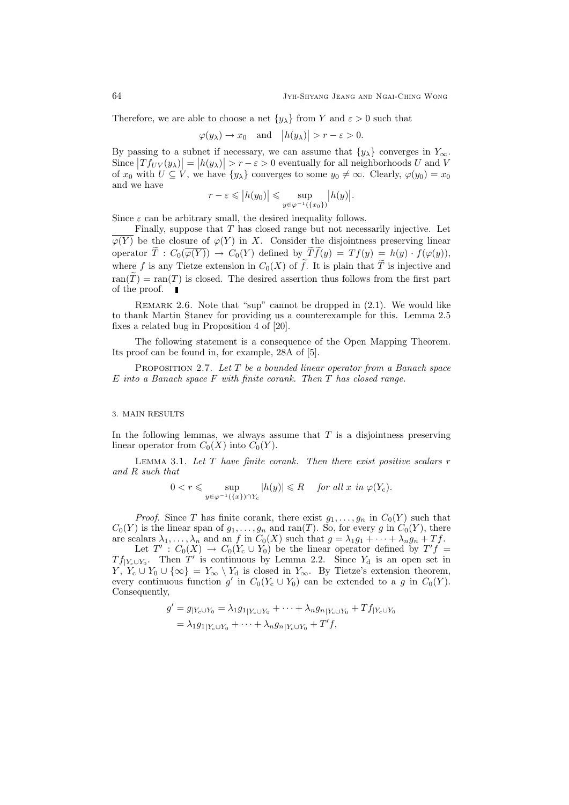Therefore, we are able to choose a net  $\{y_\lambda\}$  from Y and  $\varepsilon > 0$  such that

$$
\varphi(y_\lambda) \to x_0
$$
 and  $|h(y_\lambda)| > r - \varepsilon > 0$ .

By passing to a subnet if necessary, we can assume that  $\{y_\lambda\}$  converges in  $Y_\infty$ . Since  $|Tf_{UV}(y_\lambda)| = |h(y_\lambda)| > r - \varepsilon > 0$  eventually for all neighborhoods U and V of  $x_0$  with  $U \subseteq V$ , we have  $\{y_\lambda\}$  converges to some  $y_0 \neq \infty$ . Clearly,  $\varphi(y_0) = x_0$ and we have

$$
r - \varepsilon \leqslant \left| h(y_0) \right| \leqslant \sup_{y \in \varphi^{-1}(\{x_0\})} \left| h(y) \right|.
$$

Since  $\varepsilon$  can be arbitrary small, the desired inequality follows.

Finally, suppose that  $T$  has closed range but not necessarily injective. Let  $\overline{\varphi(Y)}$  be the closure of  $\varphi(Y)$  in X. Consider the disjointness preserving linear operator  $\tilde{T}: C_0(\overline{\varphi(Y)}) \to C_0(Y)$  defined by  $\tilde{T}f(y) = Tf(y) = h(y) \cdot f(\varphi(y)),$ where f is any Tietze extension in  $C_0(X)$  of  $\tilde{f}$ . It is plain that  $\tilde{T}$  is injective and  $ran(\widetilde{T}) = ran(T)$  is closed. The desired assertion thus follows from the first part of the proof.

REMARK 2.6. Note that "sup" cannot be dropped in  $(2.1)$ . We would like to thank Martin Stanev for providing us a counterexample for this. Lemma 2.5 fixes a related bug in Proposition 4 of [20].

The following statement is a consequence of the Open Mapping Theorem. Its proof can be found in, for example, 28A of [5].

PROPOSITION 2.7. Let  $T$  be a bounded linear operator from a Banach space  $E$  into a Banach space  $F$  with finite corank. Then  $T$  has closed range.

### 3. MAIN RESULTS

In the following lemmas, we always assume that  $T$  is a disjointness preserving linear operator from  $C_0(X)$  into  $C_0(Y)$ .

LEMMA 3.1. Let  $T$  have finite corank. Then there exist positive scalars  $r$ and R such that

$$
0 < r \leqslant \sup_{y \in \varphi^{-1}(\{x\}) \cap Y_c} |h(y)| \leqslant R \quad \text{ for all } x \text{ in } \varphi(Y_c).
$$

*Proof.* Since T has finite corank, there exist  $g_1, \ldots, g_n$  in  $C_0(Y)$  such that  $C_0(Y)$  is the linear span of  $g_1, \ldots, g_n$  and ran(T). So, for every g in  $C_0(Y)$ , there are scalars  $\lambda_1, \ldots, \lambda_n$  and an f in  $C_0(X)$  such that  $g = \lambda_1 g_1 + \cdots + \lambda_n g_n + Tf$ .

Let  $T' : C_0(X) \to C_0(Y_c \cup Y_0)$  be the linear operator defined by  $T'f =$  $Tf_{|Y_c\cup Y_0}$ . Then T' is continuous by Lemma 2.2. Since  $Y_d$  is an open set in  $Y, Y_c \cup Y_0 \cup \{\infty\} = Y_\infty \setminus Y_d$  is closed in  $Y_\infty$ . By Tietze's extension theorem, every continuous function g' in  $C_0(Y_c \cup Y_0)$  can be extended to a g in  $C_0(Y)$ . Consequently,

$$
g' = g_{|Y_c \cup Y_0} = \lambda_1 g_{1|Y_c \cup Y_0} + \dots + \lambda_n g_{n|Y_c \cup Y_0} + Tf_{|Y_c \cup Y_0}
$$
  
=  $\lambda_1 g_{1|Y_c \cup Y_0} + \dots + \lambda_n g_{n|Y_c \cup Y_0} + T'f$ ,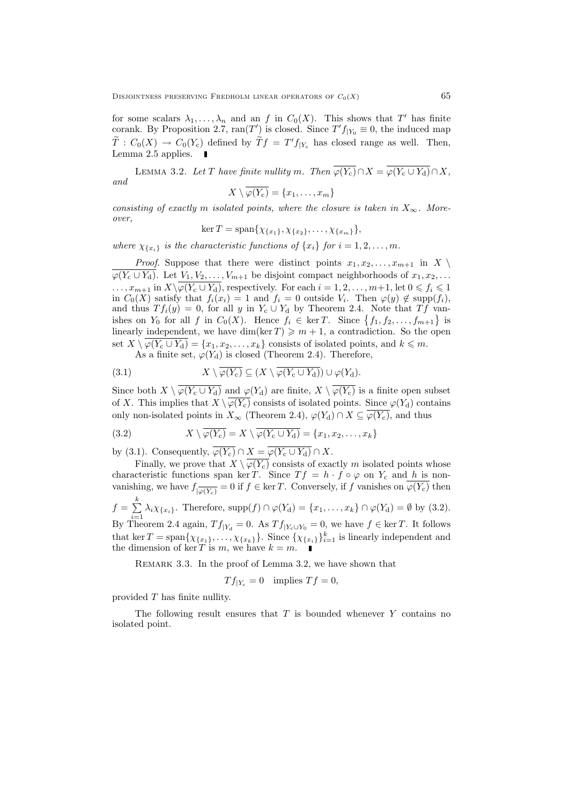for some scalars  $\lambda_1, \ldots, \lambda_n$  and an f in  $C_0(X)$ . This shows that T' has finite corank. By Proposition 2.7,  $ran(T')$  is closed. Since  $T'f_{|Y_0} \equiv 0$ , the induced map  $\widetilde{T}: C_0(X) \to C_0(Y_c)$  defined by  $\widetilde{T}f = T'f_{|Y_c}$  has closed range as well. Then, Lemma 2.5 applies.  $\blacksquare$ 

LEMMA 3.2. Let T have finite nullity m. Then  $\overline{\varphi(Y_c)} \cap X = \overline{\varphi(Y_c \cup Y_d)} \cap X$ , and

$$
X\setminus\overline{\varphi(Y_{c})}=\{x_{1},\ldots,x_{m}\}
$$

consisting of exactly m isolated points, where the closure is taken in  $X_{\infty}$ . Moreover,

 $\ker T = \text{span}\{\chi_{\{x_1\}}, \chi_{\{x_2\}}, \ldots, \chi_{\{x_m\}}\},\$ 

where  $\chi_{\{x_i\}}$  is the characteristic functions of  $\{x_i\}$  for  $i = 1, 2, \ldots, m$ .

*Proof.* Suppose that there were distinct points  $x_1, x_2, \ldots, x_{m+1}$  in  $X \setminus$  $\varphi(Y_c \cup Y_d)$ . Let  $V_1, V_2, \ldots, V_{m+1}$  be disjoint compact neighborhoods of  $x_1, x_2, \ldots$  $\ldots, x_{m+1}$  in  $X\setminus \overline{\varphi(Y_c \cup Y_d)}$ , respectively. For each  $i = 1, 2, \ldots, m+1$ , let  $0 \leqslant f_i \leqslant 1$ in  $C_0(X)$  satisfy that  $f_i(x_i) = 1$  and  $f_i = 0$  outside  $V_i$ . Then  $\varphi(y) \notin \text{supp}(f_i)$ , and thus  $T f_i(y) = 0$ , for all y in  $Y_c \cup Y_d$  by Theorem 2.4. Note that  $T f$  vanishes on  $Y_0$  for all f in  $C_0(X)$ . Hence  $f_i \in \text{ker } T$ . Since  $\{f_1, f_2, \ldots, f_{m+1}\}\$ is linearly independent, we have dim(ker  $T$ )  $\geqslant m+1$ , a contradiction. So the open set  $X \setminus \varphi(Y_c \cup Y_d) = \{x_1, x_2, \ldots, x_k\}$  consists of isolated points, and  $k \leq m$ . As a finite set,  $\varphi(Y_d)$  is closed (Theorem 2.4). Therefore,

As a finite set, 
$$
\varphi(\mathbf{1}_d)
$$
 is closed (Theorem 2.4). Therefore

(3.1) 
$$
X \setminus \varphi(Y_{c}) \subseteq (X \setminus \varphi(Y_{c} \cup Y_{d})) \cup \varphi(Y_{d}).
$$

Since both  $X \setminus \overline{\varphi(Y_c \cup Y_d)}$  and  $\varphi(Y_d)$  are finite,  $X \setminus \overline{\varphi(Y_c)}$  is a finite open subset of X. This implies that  $X \setminus \overline{\varphi(Y_{c})}$  consists of isolated points. Since  $\varphi(Y_{d})$  contains only non-isolated points in  $X_{\infty}$  (Theorem 2.4),  $\varphi(Y_{d}) \cap X \subseteq \overline{\varphi(Y_{c})}$ , and thus

(3.2) 
$$
X \setminus \overline{\varphi(Y_{c})} = X \setminus \overline{\varphi(Y_{c} \cup Y_{d})} = \{x_{1}, x_{2}, \dots, x_{k}\}
$$

by (3.1). Consequently,  $\overline{\varphi(Y_c)} \cap X = \overline{\varphi(Y_c \cup Y_d)} \cap X$ .

Finally, we prove that  $X \setminus \overline{\varphi(Y_c)}$  consists of exactly m isolated points whose characteristic functions span ker T. Since  $Tf = h \cdot f \circ \varphi$  on  $Y_c$  and h is nonvanishing, we have  $f_{\overline{\ket{\varphi(Y_c)}}}=0$  if  $f \in \ker T$ . Conversely, if f vanishes on  $\varphi(Y_c)$  then  $f = \sum_{k=1}^{k}$ 

$$
f = \sum_{i=1} \lambda_i \chi_{\{x_i\}}
$$
. Therefore,  $\text{supp}(f) \cap \varphi(Y_d) = \{x_1, \ldots, x_k\} \cap \varphi(Y_d) = \emptyset$  by (3.2). By Theorem 2.4 again,  $Tf_{|Y_d} = 0$ . As  $Tf_{|Y_c \cup Y_0} = 0$ , we have  $f \in \ker T$ . It follows that  $\ker T = \text{span}\{\chi_{\{x_1\}}, \ldots, \chi_{\{x_k\}}\}$ . Since  $\{\chi_{\{x_i\}}\}_{i=1}^k$  is linearly independent and the dimension of  $\ker T$  is  $m$ , we have  $k = m$ .

REMARK 3.3. In the proof of Lemma 3.2, we have shown that

$$
Tf_{|Y_c} = 0
$$
 implies  $Tf = 0$ ,

provided T has finite nullity.

The following result ensures that  $T$  is bounded whenever  $Y$  contains no isolated point.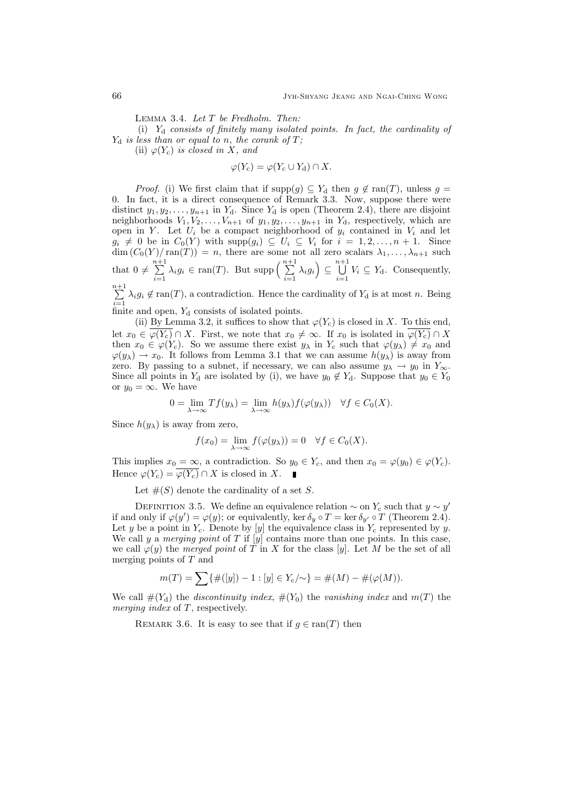Lemma 3.4. Let T be Fredholm. Then:

(i)  $Y_d$  consists of finitely many isolated points. In fact, the cardinality of  $Y_d$  is less than or equal to n, the corank of T;

(ii)  $\varphi(Y_c)$  is closed in X, and

$$
\varphi(Y_{\rm c}) = \varphi(Y_{\rm c} \cup Y_{\rm d}) \cap X.
$$

*Proof.* (i) We first claim that if  $\text{supp}(g) \subseteq Y_d$  then  $g \notin \text{ran}(T)$ , unless  $g =$ 0. In fact, it is a direct consequence of Remark 3.3. Now, suppose there were distinct  $y_1, y_2, \ldots, y_{n+1}$  in  $Y_d$ . Since  $Y_d$  is open (Theorem 2.4), there are disjoint neighborhoods  $V_1, V_2, \ldots, V_{n+1}$  of  $y_1, y_2, \ldots, y_{n+1}$  in  $Y_d$ , respectively, which are open in Y. Let  $U_i$  be a compact neighborhood of  $y_i$  contained in  $V_i$  and let  $g_i \neq 0$  be in  $C_0(Y)$  with  $\text{supp}(g_i) \subseteq U_i \subseteq V_i$  for  $i = 1, 2, ..., n + 1$ . Since  $\dim (C_0(Y)/\text{ran}(T)) = n$ , there are some not all zero scalars  $\lambda_1, \ldots, \lambda_{n+1}$  such that  $0 \neq \sum_{n=1}^{n+1}$  $\sum_{i=1}^{n+1} \lambda_i g_i \in \text{ran}(T)$ . But supp  $\Big(\sum_{i=1}^{n+1} \Big)$  $\sum_{i=1}^{n+1} \lambda_i g_i$   $\subseteq$   $\bigcup_{i=1}^{n+1}$  $\bigcup_{i=1} V_i \subseteq Y_d$ . Consequently,

 $\sum_{i=1}^{n+1}$  $\sum_{i=1} \lambda_i g_i \notin \text{ran}(T)$ , a contradiction. Hence the cardinality of  $Y_d$  is at most n. Being finite and open,  $Y_d$  consists of isolated points.

(ii) By Lemma 3.2, it suffices to show that  $\varphi(Y_c)$  is closed in X. To this end, let  $x_0 \in \overline{\varphi(Y_{\rm c})} \cap X$ . First, we note that  $x_0 \neq \infty$ . If  $x_0$  is isolated in  $\overline{\varphi(Y_{\rm c})} \cap X$ then  $x_0 \in \varphi(Y_c)$ . So we assume there exist  $y_\lambda$  in  $Y_c$  such that  $\varphi(y_\lambda) \neq x_0$  and  $\varphi(y_\lambda) \to x_0$ . It follows from Lemma 3.1 that we can assume  $h(y_\lambda)$  is away from zero. By passing to a subnet, if necessary, we can also assume  $y_{\lambda} \to y_0$  in  $Y_{\infty}$ . Since all points in  $Y_d$  are isolated by (i), we have  $y_0 \notin Y_d$ . Suppose that  $y_0 \in Y_0$ or  $y_0 = \infty$ . We have

$$
0 = \lim_{\lambda \to \infty} Tf(y_{\lambda}) = \lim_{\lambda \to \infty} h(y_{\lambda}) f(\varphi(y_{\lambda})) \quad \forall f \in C_0(X).
$$

Since  $h(y_\lambda)$  is away from zero,

$$
f(x_0) = \lim_{\lambda \to \infty} f(\varphi(y_\lambda)) = 0 \quad \forall f \in C_0(X).
$$

This implies  $x_0 = \infty$ , a contradiction. So  $y_0 \in Y_c$ , and then  $x_0 = \varphi(y_0) \in \varphi(Y_c)$ . Hence  $\varphi(Y_c) = \overline{\varphi(Y_c)} \cap X$  is closed in X.

Let  $\#(S)$  denote the cardinality of a set S.

DEFINITION 3.5. We define an equivalence relation  $\sim$  on  $Y_c$  such that  $y \sim y'$ if and only if  $\varphi(y') = \varphi(y)$ ; or equivalently, ker  $\delta_y \circ T = \ker \delta_{y'} \circ T$  (Theorem 2.4). Let y be a point in  $Y_c$ . Denote by [y] the equivalence class in  $Y_c$  represented by y. We call y a merging point of T if  $[y]$  contains more than one points. In this case, we call  $\varphi(y)$  the merged point of T in X for the class [y]. Let M be the set of all merging points of T and

$$
m(T) = \sum \{ \#([y]) - 1 : [y] \in Y_c / \sim \} = \#(M) - \#(\varphi(M)).
$$

We call  $\#(Y_d)$  the discontinuity index,  $\#(Y_0)$  the vanishing index and  $m(T)$  the merging index of T, respectively.

REMARK 3.6. It is easy to see that if  $g \in \text{ran}(T)$  then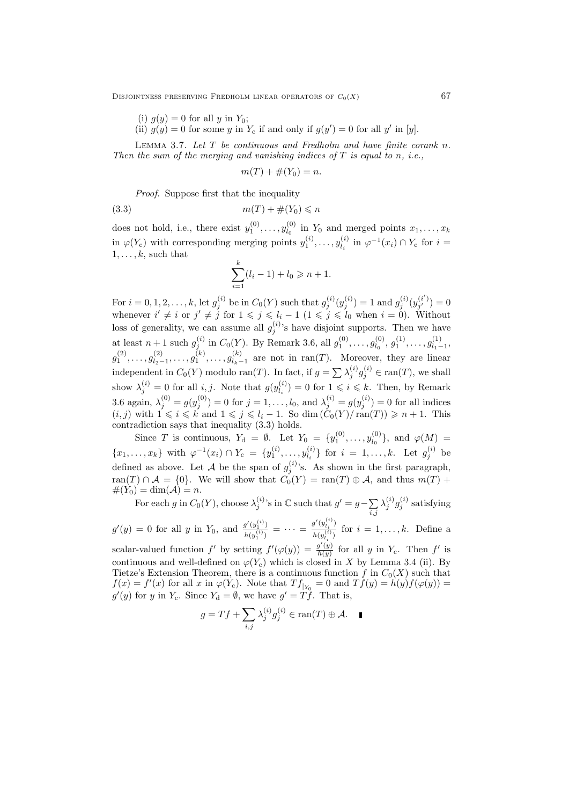DISJOINTNESS PRESERVING FREDHOLM LINEAR OPERATORS OF  $C_0(X)$  67

(i)  $g(y) = 0$  for all y in  $Y_0$ ;

(ii)  $g(y) = 0$  for some y in Y<sub>c</sub> if and only if  $g(y') = 0$  for all y' in [y].

LEMMA 3.7. Let  $T$  be continuous and Fredholm and have finite corank  $n$ . Then the sum of the merging and vanishing indices of  $T$  is equal to n, i.e.,

$$
m(T) + \#(Y_0) = n.
$$

Proof. Suppose first that the inequality

$$
(3.3) \t\t\t m(T) + \#(Y_0) \leqslant n
$$

does not hold, i.e., there exist  $y_1^{(0)}, \ldots, y_{l_0}^{(0)}$  $\mathcal{U}_l^{(0)}$  in  $Y_0$  and merged points  $x_1, \ldots, x_k$ in  $\varphi(Y_c)$  with corresponding merging points  $y_1^{(i)}, \ldots, y_{l_i}^{(i)}$  $\psi_{l_i}^{(i)}$  in  $\varphi^{-1}(x_i) \cap Y_c$  for  $i =$  $1, \ldots, k$ , such that

$$
\sum_{i=1}^{k} (l_i - 1) + l_0 \ge n + 1.
$$

For  $i = 0, 1, 2, ..., k$ , let  $g_j^{(i)}$  be in  $C_0(Y)$  such that  $g_j^{(i)}(y_j^{(i)}) = 1$  and  $g_j^{(i)}(y_{j'}^{(i')})$  $j_j^{(i)}{}_{j'}^{(i)}=0$ whenever  $i' \neq i$  or  $j' \neq j$  for  $1 \leq j \leq l_i - 1$   $(1 \leq j \leq l_0$  when  $i = 0$ ). Without loss of generality, we can assume all  $g_j^{(i)}$ 's have disjoint supports. Then we have at least  $n+1$  such  $g_j^{(i)}$  in  $C_0(Y)$ . By Remark 3.6, all  $g_1^{(0)}, \ldots, g_{l_0}^{(0)}$  $g_1^{(0)}, g_1^{(1)}, \ldots, g_{l_1-}^{(1)}$  $l_{1}^{(1)}$ <sub>1</sub> – 1<sup>,</sup>  $g_1^{(2)},\ldots,g_{l_2}^{(2)}$  $\binom{(2)}{l_2-1},\ldots,\binom{(k)}{1},\ldots,\binom{(k)}{l_k-1}$  $\int_{l_k-1}^{(k)}$  are not in ran(T). Moreover, they are linear independent in  $C_0(Y)$  modulo ran(T). In fact, if  $g = \sum_i \lambda_j^{(i)} g_j^{(i)} \in \text{ran}(T)$ , we shall show  $\lambda_j^{(i)} = 0$  for all *i*, *j*. Note that  $g(y_{l_i}^{(i)})$  $\lambda_{l_i}^{(i)}$  = 0 for  $1 \leqslant i \leqslant k$ . Then, by Remark 3.6 again,  $\lambda_j^{(0)} = g(y_j^{(0)}) = 0$  for  $j = 1, ..., l_0$ , and  $\lambda_j^{(i)} = g(y_j^{(i)}) = 0$  for all indices  $(i, j)$  with  $1 \leq i \leq k$  and  $1 \leq j \leq l_i - 1$ . So  $\dim (\check{C}_0(Y)/\mathrm{ran}(T)) \geq n + 1$ . This contradiction says that inequality (3.3) holds.

Since T is continuous,  $Y_{d} = \emptyset$ . Let  $Y_{0} = \{y_{1}^{(0)}, \ldots, y_{l_{0}}^{(0)}\}$  $\varphi_{l_0}^{(0)}\},$  and  $\varphi(M) =$  ${x_1, \ldots, x_k}$  with  $\varphi^{-1}(x_i) \cap Y_c = \{y_1^{(i)}, \ldots, y_{l_i}^{(i)}\}$  $\{a_i^{(i)}\}$  for  $i = 1, ..., k$ . Let  $g_j^{(i)}$  be defined as above. Let A be the span of  $g_j^{(i)}$ 's. As shown in the first paragraph, ran(T) ∩  $\mathcal{A} = \{0\}$ . We will show that  $C_0(Y) = \text{ran}(T) \oplus \mathcal{A}$ , and thus  $m(T)$  +  $#(Y_0) = \dim(\mathcal{A}) = n.$ 

For each g in  $C_0(Y)$ , choose  $\lambda_j^{(i)}$ 's in  $\mathbb C$  such that  $g' = g - \sum$ i,j  $\lambda_j^{(i)} g_j^{(i)}$  satisfying

 $g'(y) = 0$  for all y in Y<sub>0</sub>, and  $\frac{g'(y_1^{(i)})}{h'(y_1^{(i)})}$  $\frac{g'(y_1^{(i)})}{h(y_1^{(i)})} = \cdots = \frac{g'(y_{l_i}^{(i)})}{h(y_{l_i}^{(i)})}$  $\frac{\partial^{\sigma} (sl_i)}{h(y_{l_i}^{(i)})}$  for  $i = 1, \ldots, k$ . Define a

scalar-valued function f' by setting  $f'(\varphi(y)) = \frac{g'(y)}{h(y)}$  $\frac{g'(y)}{h(y)}$  for all y in  $Y_c$ . Then f' is continuous and well-defined on  $\varphi(Y_c)$  which is closed in X by Lemma 3.4 (ii). By Tietze's Extension Theorem, there is a continuous function f in  $C_0(X)$  such that  $f(x) = f'(x)$  for all x in  $\varphi(Y_c)$ . Note that  $Tf_{|Y_0} = 0$  and  $Tf(y) = h(y)f(\varphi(y)) =$  $g'(y)$  for y in  $Y_c$ . Since  $Y_d = \emptyset$ , we have  $g' = T\check{f}$ . That is,

$$
g = Tf + \sum_{i,j} \lambda_j^{(i)} g_j^{(i)} \in \text{ran}(T) \oplus \mathcal{A}. \quad \blacksquare
$$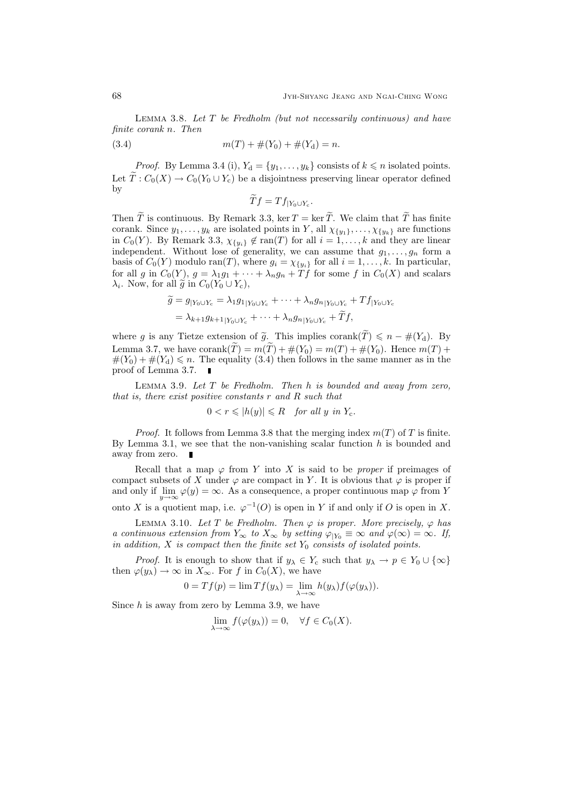LEMMA 3.8. Let  $T$  be Fredholm (but not necessarily continuous) and have finite corank n. Then

(3.4) 
$$
m(T) + \#(Y_0) + \#(Y_{d}) = n.
$$

*Proof.* By Lemma 3.4 (i),  $Y_d = \{y_1, \ldots, y_k\}$  consists of  $k \leq n$  isolated points. Let  $\widetilde{T}: C_0(X) \to C_0(Y_0 \cup Y_c)$  be a disjointness preserving linear operator defined by

$$
Tf = Tf_{|Y_0 \cup Y_c}.
$$

Then  $\tilde{T}$  is continuous. By Remark 3.3, ker  $T = \ker \tilde{T}$ . We claim that  $\tilde{T}$  has finite corank. Since  $y_1, \ldots, y_k$  are isolated points in Y, all  $\chi_{\{y_1\}}, \ldots, \chi_{\{y_k\}}$  are functions in  $C_0(Y)$ . By Remark 3.3,  $\chi_{\{y_i\}} \notin \text{ran}(T)$  for all  $i = 1, ..., k$  and they are linear independent. Without lose of generality, we can assume that  $g_1, \ldots, g_n$  form a basis of  $C_0(Y)$  modulo ran(T), where  $g_i = \chi_{\{y_i\}}$  for all  $i = 1, ..., k$ . In particular, for all g in  $C_0(Y)$ ,  $g = \lambda_1 g_1 + \cdots + \lambda_n g_n + Tf$  for some f in  $C_0(X)$  and scalars  $\lambda_i$ . Now, for all  $\tilde{g}$  in  $C_0(Y_0 \cup Y_c)$ ,

$$
\widetilde{g} = g_{|Y_0 \cup Y_c} = \lambda_1 g_{1|Y_0 \cup Y_c} + \dots + \lambda_n g_{n|Y_0 \cup Y_c} + Tf_{|Y_0 \cup Y_c}
$$

$$
= \lambda_{k+1} g_{k+1|Y_0 \cup Y_c} + \dots + \lambda_n g_{n|Y_0 \cup Y_c} + \widetilde{T}f,
$$

where g is any Tietze extension of  $\tilde{g}$ . This implies corank $(\tilde{T}) \leq n - \#(Y_d)$ . By Lemma 3.7, we have corank $(\widetilde{T}) = m(\widetilde{T}) + \#(Y_0) = m(T) + \#(Y_0)$ . Hence  $m(T)$  +  $#(Y_0) + #(Y_d) \leq n$ . The equality (3.4) then follows in the same manner as in the proof of Lemma 3.7.  $\blacksquare$ 

LEMMA 3.9. Let  $T$  be Fredholm. Then  $h$  is bounded and away from zero, that is, there exist positive constants r and R such that

$$
0 < r \leqslant |h(y)| \leqslant R \quad \text{for all } y \text{ in } Y_{\text{c}}.
$$

*Proof.* It follows from Lemma 3.8 that the merging index  $m(T)$  of T is finite. By Lemma 3.1, we see that the non-vanishing scalar function  $h$  is bounded and away from zero.

Recall that a map  $\varphi$  from Y into X is said to be *proper* if preimages of compact subsets of X under  $\varphi$  are compact in Y. It is obvious that  $\varphi$  is proper if and only if  $\lim_{y \to \infty} \varphi(y) = \infty$ . As a consequence, a proper continuous map  $\varphi$  from Y onto X is a quotient map, i.e.  $\varphi^{-1}(O)$  is open in Y if and only if O is open in X.

LEMMA 3.10. Let T be Fredholm. Then  $\varphi$  is proper. More precisely,  $\varphi$  has a continuous extension from  $Y_{\infty}$  to  $X_{\infty}$  by setting  $\varphi_{|Y_0} \equiv \infty$  and  $\varphi(\infty) = \infty$ . If, in addition, X is compact then the finite set  $Y_0$  consists of isolated points.

*Proof.* It is enough to show that if  $y_{\lambda} \in Y_c$  such that  $y_{\lambda} \to p \in Y_0 \cup {\infty}$ then  $\varphi(y_\lambda) \to \infty$  in  $X_\infty$ . For f in  $C_0(X)$ , we have

$$
0 = Tf(p) = \lim Tf(y_{\lambda}) = \lim_{\lambda \to \infty} h(y_{\lambda}) f(\varphi(y_{\lambda})).
$$

Since  $h$  is away from zero by Lemma 3.9, we have

$$
\lim_{\lambda \to \infty} f(\varphi(y_{\lambda})) = 0, \quad \forall f \in C_0(X).
$$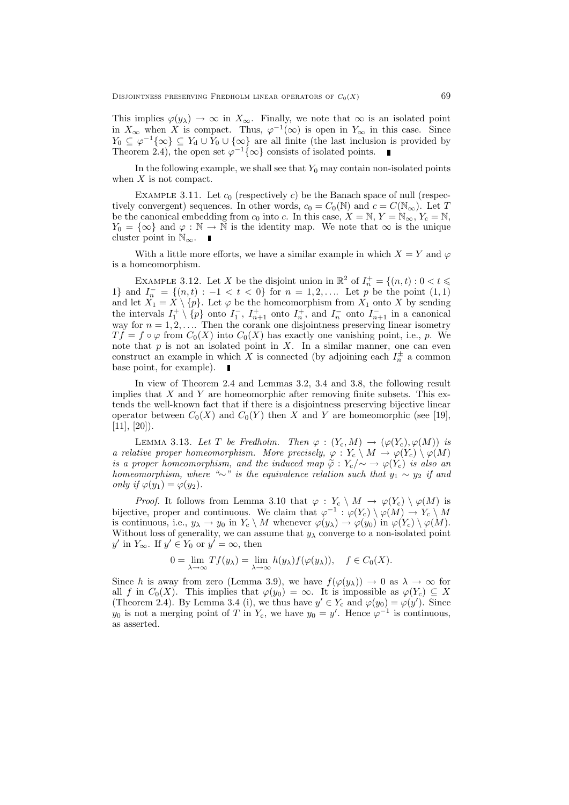This implies  $\varphi(y_\lambda) \to \infty$  in  $X_\infty$ . Finally, we note that  $\infty$  is an isolated point in  $X_{\infty}$  when X is compact. Thus,  $\varphi^{-1}(\infty)$  is open in  $Y_{\infty}$  in this case. Since  $Y_0 \subseteq \varphi^{-1}\{\infty\} \subseteq Y_d \cup Y_0 \cup \{\infty\}$  are all finite (the last inclusion is provided by Theorem 2.4), the open set  $\varphi^{-1}\{\infty\}$  consists of isolated points.

In the following example, we shall see that  $Y_0$  may contain non-isolated points when  $X$  is not compact.

EXAMPLE 3.11. Let  $c_0$  (respectively c) be the Banach space of null (respectively convergent) sequences. In other words,  $c_0 = C_0(N)$  and  $c = C(N_{\infty})$ . Let T be the canonical embedding from  $c_0$  into c. In this case,  $X = N$ ,  $Y = N_{\infty}$ ,  $Y_c = N$ ,  $Y_0 = \{\infty\}$  and  $\varphi : \mathbb{N} \to \mathbb{N}$  is the identity map. We note that  $\infty$  is the unique cluster point in  $\mathbb{N}_{\infty}$ .  $\blacksquare$ 

With a little more efforts, we have a similar example in which  $X = Y$  and  $\varphi$ is a homeomorphism.

EXAMPLE 3.12. Let X be the disjoint union in  $\mathbb{R}^2$  of  $I_n^+ = \{(n, t) : 0 < t \leq \mathbb{R}^2\}$ 1} and  $I_n^- = \{(n, t) : -1 < t < 0\}$  for  $n = 1, 2, \ldots$  Let p be the point  $(1, 1)$ and let  $X_1 = X \setminus \{p\}$ . Let  $\varphi$  be the homeomorphism from  $X_1$  onto X by sending the intervals  $I_1^+ \setminus \{p\}$  onto  $I_1^-$ ,  $I_{n+1}^+$  onto  $I_n^+$ , and  $I_n^-$  onto  $I_{n+1}^-$  in a canonical way for  $n = 1, 2, \ldots$  Then the corank one disjointness preserving linear isometry  $T f = f \circ \varphi$  from  $C_0(X)$  into  $C_0(X)$  has exactly one vanishing point, i.e., p. We note that  $p$  is not an isolated point in  $X$ . In a similar manner, one can even construct an example in which X is connected (by adjoining each  $I_n^{\pm}$  a common base point, for example).  $\blacksquare$ 

In view of Theorem 2.4 and Lemmas 3.2, 3.4 and 3.8, the following result implies that  $X$  and  $Y$  are homeomorphic after removing finite subsets. This extends the well-known fact that if there is a disjointness preserving bijective linear operator between  $C_0(X)$  and  $C_0(Y)$  then X and Y are homeomorphic (see [19],  $[11], [20]$ .

LEMMA 3.13. Let T be Fredholm. Then  $\varphi : (Y_c, M) \to (\varphi(Y_c), \varphi(M))$  is a relative proper homeomorphism. More precisely,  $\varphi: Y_c \setminus M \to \varphi(Y_c) \setminus \varphi(M)$ is a proper homeomorphism, and the induced map  $\tilde{\varphi}: Y_c/\sim \to \varphi(Y_c)$  is also an homeomorphism, where "∼" is the equivalence relation such that  $y_1 \sim y_2$  if and only if  $\varphi(y_1) = \varphi(y_2)$ .

*Proof.* It follows from Lemma 3.10 that  $\varphi : Y_c \setminus M \to \varphi(Y_c) \setminus \varphi(M)$  is bijective, proper and continuous. We claim that  $\varphi^{-1} : \varphi(Y_c) \setminus \varphi(M) \to Y_c \setminus M$ is continuous, i.e.,  $y_\lambda \to y_0$  in  $Y_c \setminus M$  whenever  $\varphi(y_\lambda) \to \varphi(y_0)$  in  $\varphi(Y_c) \setminus \varphi(M)$ . Without loss of generality, we can assume that  $y_\lambda$  converge to a non-isolated point  $y'$  in  $Y_{\infty}$ . If  $y' \in Y_0$  or  $y' = \infty$ , then

$$
0 = \lim_{\lambda \to \infty} Tf(y_{\lambda}) = \lim_{\lambda \to \infty} h(y_{\lambda}) f(\varphi(y_{\lambda})), \quad f \in C_0(X).
$$

Since h is away from zero (Lemma 3.9), we have  $f(\varphi(y_\lambda)) \to 0$  as  $\lambda \to \infty$  for all f in  $C_0(X)$ . This implies that  $\varphi(y_0) = \infty$ . It is impossible as  $\varphi(Y_c) \subseteq X$ (Theorem 2.4). By Lemma 3.4 (i), we thus have  $y' \in Y_c$  and  $\varphi(y_0) = \varphi(y')$ . Since  $y_0$  is not a merging point of T in Y<sub>c</sub>, we have  $y_0 = y'$ . Hence  $\varphi^{-1}$  is continuous, as asserted.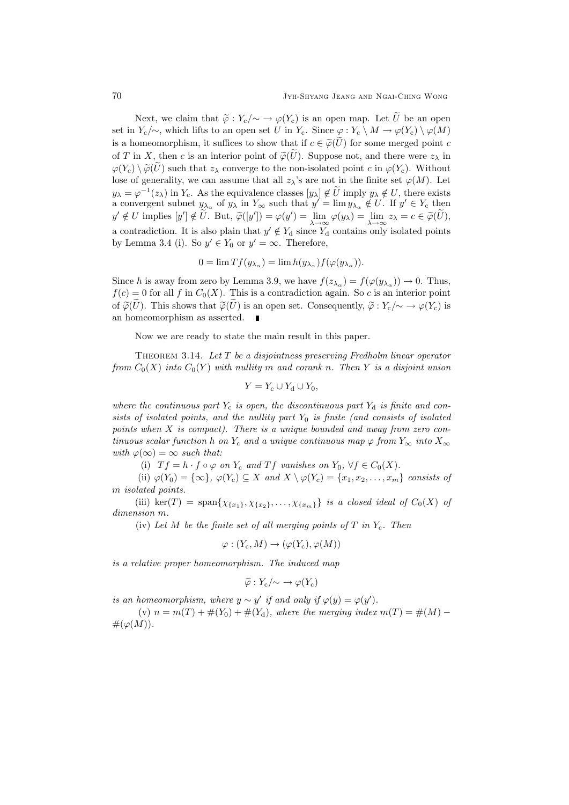Next, we claim that  $\tilde{\varphi}: Y_c/\sim \to \varphi(Y_c)$  is an open map. Let  $\tilde{U}$  be an open set in  $Y_c/\sim$ , which lifts to an open set U in  $Y_c$ . Since  $\varphi: Y_c \setminus M \to \varphi(Y_c) \setminus \varphi(M)$ is a homeomorphism, it suffices to show that if  $c \in \widetilde{\varphi}(U)$  for some merged point c of T in X, then c is an interior point of  $\tilde{\varphi}(\tilde{U})$ . Suppose not, and there were  $z_{\lambda}$  in  $\varphi(Y_c) \setminus \widetilde{\varphi}(\widetilde{U})$  such that  $z_\lambda$  converge to the non-isolated point c in  $\varphi(Y_c)$ . Without lose of generality, we can assume that all  $z_\lambda$ 's are not in the finite set  $\varphi(M)$ . Let  $y_{\lambda} = \varphi^{-1}(z_{\lambda})$  in  $Y_c$ . As the equivalence classes  $[y_{\lambda}] \notin \tilde{U}$  imply  $y_{\lambda} \notin U$ , there exists a convergent subnet  $y_{\lambda_{\alpha}}$  of  $y_{\lambda}$  in  $Y_{\infty}$  such that  $y' = \lim y_{\lambda_{\alpha}} \notin U$ . If  $y' \in Y_{c}$  then  $y' \notin U$  implies  $[y'] \notin \tilde{U}$ . But,  $\tilde{\varphi}([y']) = \varphi(y') = \lim_{\lambda \to \infty} \varphi(y_\lambda) = \lim_{\lambda \to \infty} z_\lambda = c \in \tilde{\varphi}(\tilde{U}),$ a contradiction. It is also plain that  $y' \notin Y_d$  since  $Y_d$  contains only isolated points by Lemma 3.4 (i). So  $y' \in Y_0$  or  $y' = \infty$ . Therefore,

$$
0 = \lim Tf(y_{\lambda_{\alpha}}) = \lim h(y_{\lambda_{\alpha}})f(\varphi(y_{\lambda_{\alpha}})).
$$

Since h is away from zero by Lemma 3.9, we have  $f(z_{\lambda_{\alpha}}) = f(\varphi(y_{\lambda_{\alpha}})) \to 0$ . Thus,  $f(c) = 0$  for all f in  $C_0(X)$ . This is a contradiction again. So c is an interior point of  $\widetilde{\varphi}(U)$ . This shows that  $\widetilde{\varphi}(U)$  is an open set. Consequently,  $\widetilde{\varphi}: Y_c/\sim \longrightarrow \varphi(Y_c)$  is an homeomorphism as asserted.

Now we are ready to state the main result in this paper.

THEOREM 3.14. Let  $T$  be a disjointness preserving Fredholm linear operator from  $C_0(X)$  into  $C_0(Y)$  with nullity m and corank n. Then Y is a disjoint union

$$
Y = Y_{\rm c} \cup Y_{\rm d} \cup Y_0,
$$

where the continuous part  $Y_c$  is open, the discontinuous part  $Y_d$  is finite and consists of isolated points, and the nullity part  $Y_0$  is finite (and consists of isolated points when X is compact). There is a unique bounded and away from zero continuous scalar function h on Y<sub>c</sub> and a unique continuous map  $\varphi$  from Y<sub>∞</sub> into X<sub>∞</sub> with  $\varphi(\infty) = \infty$  such that:

(i)  $T f = h \cdot f \circ \varphi$  on  $Y_c$  and  $T f$  vanishes on  $Y_0$ ,  $\forall f \in C_0(X)$ .

(ii)  $\varphi(Y_0) = {\infty}$ ,  $\varphi(Y_c) \subseteq X$  and  $X \setminus \varphi(Y_c) = \{x_1, x_2, \ldots, x_m\}$  consists of m isolated points.

(iii) ker(T) = span $\{\chi_{\{x_1\}}, \chi_{\{x_2\}}, \ldots, \chi_{\{x_m\}}\}$  is a closed ideal of  $C_0(X)$  of dimension m.

(iv) Let M be the finite set of all merging points of T in  $Y_c$ . Then

$$
\varphi: (Y_c, M) \to (\varphi(Y_c), \varphi(M))
$$

is a relative proper homeomorphism. The induced map

$$
\widetilde{\varphi}: Y_{\rm c}/\!\!\sim \rightarrow \varphi(Y_{\rm c})
$$

is an homeomorphism, where  $y \sim y'$  if and only if  $\varphi(y) = \varphi(y')$ .

(v)  $n = m(T) + #(Y_0) + #(Y_d)$ , where the merging index  $m(T) = #(M) \#(\varphi(M)).$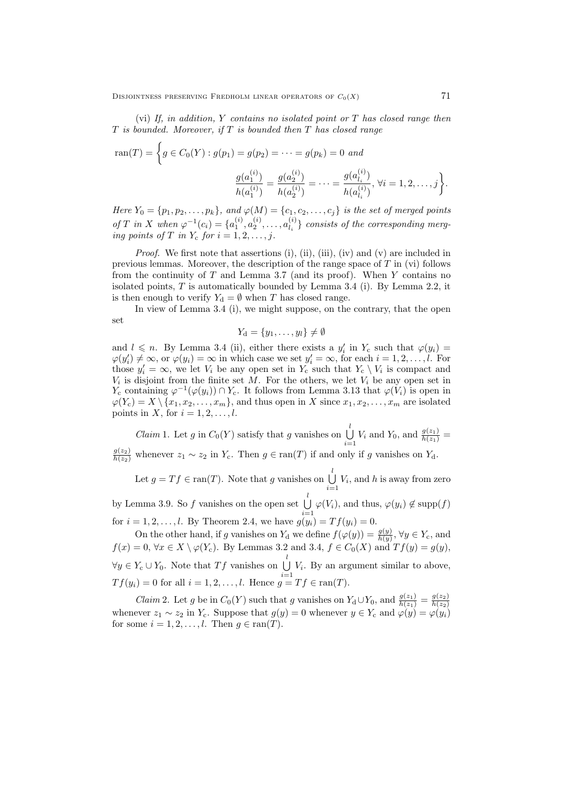(vi) If, in addition, Y contains no isolated point or T has closed range then  $T$  is bounded. Moreover, if  $T$  is bounded then  $T$  has closed range

$$
\text{ran}(T) = \left\{ g \in C_0(Y) : g(p_1) = g(p_2) = \dots = g(p_k) = 0 \text{ and } \frac{g(a_1^{(i)})}{h(a_1^{(i)})} = \frac{g(a_2^{(i)})}{h(a_2^{(i)})} = \dots = \frac{g(a_{l_i}^{(i)})}{h(a_{l_i}^{(i)})}, \forall i = 1, 2, \dots, j \right\}.
$$

Here  $Y_0 = \{p_1, p_2, \ldots, p_k\}$ , and  $\varphi(M) = \{c_1, c_2, \ldots, c_j\}$  is the set of merged points of T in X when  $\varphi^{-1}(c_i) = \{a_1^{(i)}, a_2^{(i)}, \ldots, a_{l_i}^{(i)}\}$  $\binom{[i]}{l_i}$  consists of the corresponding merging points of T in  $Y_c$  for  $i = 1, 2, \ldots, j$ .

Proof. We first note that assertions (i), (ii), (iii), (iv) and (v) are included in previous lemmas. Moreover, the description of the range space of  $T$  in (vi) follows from the continuity of  $T$  and Lemma 3.7 (and its proof). When  $Y$  contains no isolated points, T is automatically bounded by Lemma 3.4 (i). By Lemma 2.2, it is then enough to verify  $Y_d = \emptyset$  when T has closed range.

In view of Lemma 3.4 (i), we might suppose, on the contrary, that the open set

$$
Y_{\mathrm{d}} = \{y_1, \ldots, y_l\} \neq \emptyset
$$

and  $l \leq n$ . By Lemma 3.4 (ii), either there exists a  $y'_i$  in  $Y_c$  such that  $\varphi(y_i)$  $\varphi(y'_i) \neq \infty$ , or  $\varphi(y_i) = \infty$  in which case we set  $y'_i = \infty$ , for each  $i = 1, 2, \ldots, l$ . For those  $y_i' = \infty$ , we let  $V_i$  be any open set in  $Y_c$  such that  $Y_c \setminus V_i$  is compact and  $V_i$  is disjoint from the finite set M. For the others, we let  $V_i$  be any open set in  $Y_c$  containing  $\varphi^{-1}(\varphi(y_i)) \cap Y_c$ . It follows from Lemma 3.13 that  $\varphi(V_i)$  is open in  $\varphi(Y_c) = X \setminus \{x_1, x_2, \ldots, x_m\}$ , and thus open in X since  $x_1, x_2, \ldots, x_m$  are isolated points in X, for  $i = 1, 2, \ldots, l$ .

*Claim* 1. Let g in  $C_0(Y)$  satisfy that g vanishes on  $\bigcup_{i=1}^{l}$  $\bigcup_{i=1}^{i} V_i$  and  $Y_0$ , and  $\frac{g(z_1)}{h(z_1)}$  =  $\frac{g(z_2)}{h(z_2)}$  whenever  $z_1 \sim z_2$  in  $Y_c$ . Then  $g \in \text{ran}(T)$  if and only if g vanishes on  $Y_d$ .

Let  $g = Tf \in \text{ran}(T)$ . Note that g vanishes on  $\bigcup_{i=1}^{l} S_i$  $\bigcup_{i=1} V_i$ , and h is away from zero

by Lemma 3.9. So f vanishes on the open set  $\bigcup_{l=1}^{l}$  $\bigcup_{i=1} \varphi(V_i)$ , and thus,  $\varphi(y_i) \notin \text{supp}(f)$ for  $i = 1, 2, ..., l$ . By Theorem 2.4, we have  $g(y_i) = Tf(y_i) = 0$ .

On the other hand, if g vanishes on  $Y_d$  we define  $f(\varphi(y)) = \frac{g(y)}{h(y)}$ ,  $\forall y \in Y_c$ , and  $f(x) = 0$ ,  $\forall x \in X \setminus \varphi(Y_{c})$ . By Lemmas 3.2 and 3.4,  $f \in C_{0}(X)$  and  $Tf(y) = g(y)$ ,  $\forall y \in Y_{\text{c}} \cup Y_0$ . Note that  $Tf$  vanishes on  $\bigcup_{i=1}^{l} S_i$  $\bigcup_{i=1}^{\infty} V_i$ . By an argument similar to above,  $Tf(y_i) = 0$  for all  $i = 1, 2, \ldots, l$ . Hence  $g = Tf \in \text{ran}(T)$ .

*Claim 2.* Let g be in  $C_0(Y)$  such that g vanishes on  $Y_d \cup Y_0$ , and  $\frac{g(z_1)}{h(z_1)} = \frac{g(z_2)}{h(z_2)}$ whenever  $z_1 \sim z_2$  in  $Y_c$ . Suppose that  $g(y) = 0$  whenever  $y \in Y_c$  and  $\varphi(y) = \varphi(y_i)$ for some  $i = 1, 2, \ldots, l$ . Then  $g \in \text{ran}(T)$ .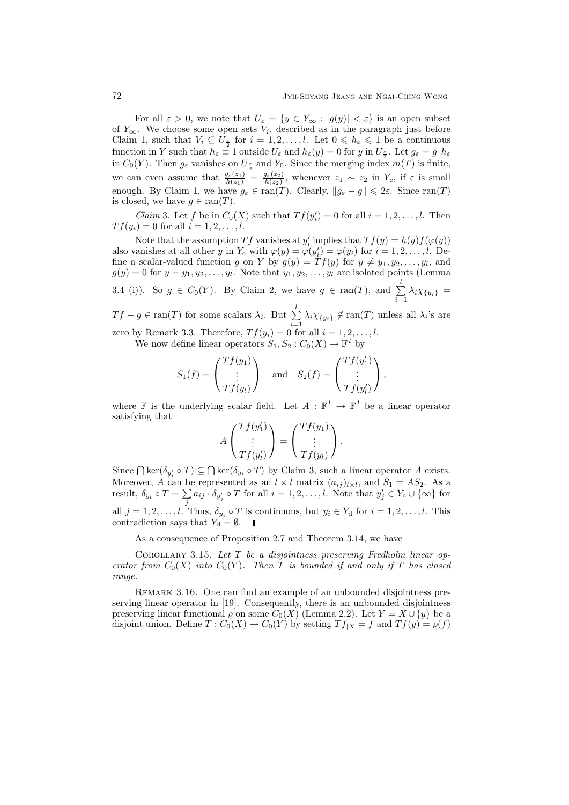For all  $\varepsilon > 0$ , we note that  $U_{\varepsilon} = \{y \in Y_{\infty} : |g(y)| < \varepsilon\}$  is an open subset of  $Y_{\infty}$ . We choose some open sets  $V_i$ , described as in the paragraph just before Claim 1, such that  $V_i \subseteq \hat{U}_{\frac{\epsilon}{2}}$  for  $i = 1, 2, ..., l$ . Let  $0 \leqslant h_{\epsilon} \leqslant 1$  be a continuous function in Y such that  $h_{\varepsilon} \equiv 1$  outside  $U_{\varepsilon}$  and  $h_{\varepsilon}(y) = 0$  for y in  $U_{\frac{\varepsilon}{2}}$ . Let  $g_{\varepsilon} = g \cdot h_{\varepsilon}$ in  $C_0(Y)$ . Then  $g_{\varepsilon}$  vanishes on  $U_{\frac{\varepsilon}{2}}$  and  $Y_0$ . Since the merging index  $m(T)$  is finite, we can even assume that  $\frac{g_{\varepsilon}(z_1)}{h(z_1)} = \frac{g_{\varepsilon}(z_2)}{h(z_2)}$  $\frac{g_{\varepsilon}(z_2)}{h(z_2)}$ , whenever  $z_1 \sim z_2$  in  $Y_c$ , if  $\varepsilon$  is small enough. By Claim 1, we have  $g_{\varepsilon} \in \text{ran}(T)$ . Clearly,  $\|g_{\varepsilon} - g\| \leq 2\varepsilon$ . Since  $\text{ran}(T)$ is closed, we have  $g \in \text{ran}(T)$ .

*Claim* 3. Let f be in  $C_0(X)$  such that  $Tf(y'_i) = 0$  for all  $i = 1, 2, ..., l$ . Then  $T f(y_i) = 0$  for all  $i = 1, 2, ..., l$ .

Note that the assumption Tf vanishes at  $y'_i$  implies that  $Tf(y) = h(y)f(\varphi(y))$ also vanishes at all other y in  $Y_c$  with  $\varphi(y) = \varphi(y_i) = \varphi(y_i)$  for  $i = 1, 2, ..., l$ . Define a scalar-valued function g on Y by  $g(y) = Tf(y)$  for  $y \neq y_1, y_2, \ldots, y_l$ , and  $g(y) = 0$  for  $y = y_1, y_2, \dots, y_l$ . Note that  $y_1, y_2, \dots, y_l$  are isolated points (Lemma 3.4 (i)). So  $g \in C_0(Y)$ . By Claim 2, we have  $g \in \text{ran}(T)$ , and  $\sum_{i=1}^l$  $\sum_{i=1} \lambda_i \chi_{\{y_i\}} =$ 

 $Tf - g \in \text{ran}(T)$  for some scalars  $\lambda_i$ . But  $\sum_{i=1}^{l}$  $\sum_{i=1} \lambda_i \chi_{\{y_i\}} \notin \text{ran}(T)$  unless all  $\lambda_i$ 's are zero by Remark 3.3. Therefore,  $Tf(y_i) = 0$  for all  $i = 1, 2, ..., l$ .

We now define linear operators  $S_1, S_2 : C_0(X) \to \mathbb{F}^l$  by

$$
S_1(f) = \begin{pmatrix} Tf(y_1) \\ \vdots \\ Tf(y_l) \end{pmatrix} \text{ and } S_2(f) = \begin{pmatrix} Tf(y_1') \\ \vdots \\ Tf(y_l') \end{pmatrix},
$$

where  $\mathbb F$  is the underlying scalar field. Let  $A: \mathbb F^l \to \mathbb F^l$  be a linear operator satisfying that  $T$  f(y)

$$
A\begin{pmatrix} Tf(y_1') \\ \vdots \\ Tf(y_l') \end{pmatrix} = \begin{pmatrix} Tf(y_1) \\ \vdots \\ Tf(y_l) \end{pmatrix}.
$$

Since  $\bigcap \text{ker}(\delta_{y'_i} \circ T) \subseteq \bigcap \text{ker}(\delta_{y_i} \circ T)$  by Claim 3, such a linear operator A exists. Moreover, A can be represented as an  $l \times l$  matrix  $(a_{ij})_{l \times l}$ , and  $S_1 = AS_2$ . As a result,  $\delta_{y_i} \circ T = \sum a_{ij} \cdot \delta_{y'_j} \circ T$  for all  $i = 1, 2, ..., l$ . Note that  $y'_j \in Y_c \cup \{\infty\}$  for all  $j = 1, 2, \ldots, l$ . Thus,  $\delta_{y_i} \circ T$  is continuous, but  $y_i \in Y_d$  for  $i = 1, 2, \ldots, l$ . This contradiction says that  $Y_d = \emptyset$ .

As a consequence of Proposition 2.7 and Theorem 3.14, we have

COROLLARY 3.15. Let  $T$  be a disjointness preserving Fredholm linear operator from  $C_0(X)$  into  $C_0(Y)$ . Then T is bounded if and only if T has closed range.

REMARK 3.16. One can find an example of an unbounded disjointness preserving linear operator in [19]. Consequently, there is an unbounded disjointness preserving linear functional  $\rho$  on some  $C_0(X)$  (Lemma 2.2). Let  $Y = X \cup \{y\}$  be a disjoint union. Define  $T: C_0(X) \to C_0(Y)$  by setting  $Tf_{|X} = f$  and  $Tf(y) = \varrho(f)$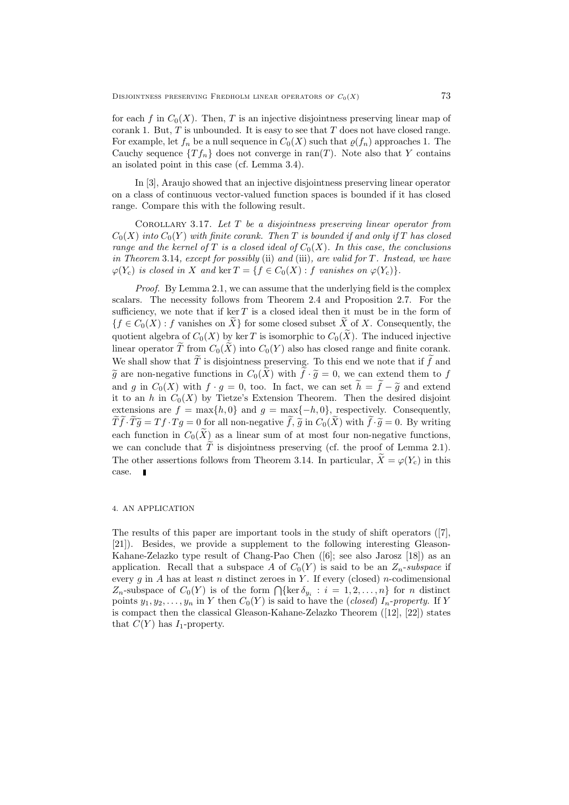for each f in  $C_0(X)$ . Then, T is an injective disjointness preserving linear map of corank 1. But,  $T$  is unbounded. It is easy to see that  $T$  does not have closed range. For example, let  $f_n$  be a null sequence in  $C_0(X)$  such that  $\rho(f_n)$  approaches 1. The Cauchy sequence  $\{Tf_n\}$  does not converge in ran(T). Note also that Y contains an isolated point in this case (cf. Lemma 3.4).

In [3], Araujo showed that an injective disjointness preserving linear operator on a class of continuous vector-valued function spaces is bounded if it has closed range. Compare this with the following result.

COROLLARY 3.17. Let  $T$  be a disjointness preserving linear operator from  $C_0(X)$  into  $C_0(Y)$  with finite corank. Then T is bounded if and only if T has closed range and the kernel of T is a closed ideal of  $C_0(X)$ . In this case, the conclusions in Theorem 3.14, except for possibly (ii) and (iii), are valid for T. Instead, we have  $\varphi(Y_c)$  is closed in X and ker  $T = \{f \in C_0(X) : f \text{ vanishes on } \varphi(Y_c)\}.$ 

Proof. By Lemma 2.1, we can assume that the underlying field is the complex scalars. The necessity follows from Theorem 2.4 and Proposition 2.7. For the sufficiency, we note that if  $\ker T$  is a closed ideal then it must be in the form of  ${f \in C_0(X) : f \text{ vanishes on } X}$  for some closed subset X of X. Consequently, the quotient algebra of  $C_0(X)$  by ker T is isomorphic to  $C_0(X)$ . The induced injective linear operator  $\widetilde{T}$  from  $C_0(\widetilde{X})$  into  $C_0(Y)$  also has closed range and finite corank. We shall show that  $\widetilde{T}$  is disjointness preserving. To this end we note that if  $\widetilde{f}$  and  $\tilde{g}$  are non-negative functions in  $C_0(\tilde{X})$  with  $\tilde{f} \cdot \tilde{g} = 0$ , we can extend them to f and g in  $C_0(X)$  with  $f \cdot g = 0$ , too. In fact, we can set  $h = f - \tilde{g}$  and extend it to an h in  $C_0(X)$  by Tietze's Extension Theorem. Then the desired disjoint extensions are  $f = \max\{h, 0\}$  and  $g = \max\{-h, 0\}$ , respectively. Consequently,  $T\tilde{f}\cdot T\tilde{g} = Tf\cdot Tg = 0$  for all non-negative  $\tilde{f}, \tilde{g}$  in  $C_0(X)$  with  $\tilde{f}\cdot \tilde{g} = 0$ . By writing each function in  $C_0(\tilde{X})$  as a linear sum of at most four non-negative functions, we can conclude that  $\tilde{T}$  is disjointness preserving (cf. the proof of Lemma 2.1). The other assertions follows from Theorem 3.14. In particular,  $\widetilde{X} = \varphi(Y_c)$  in this case.

# 4. AN APPLICATION

The results of this paper are important tools in the study of shift operators ([7], [21]). Besides, we provide a supplement to the following interesting Gleason-Kahane-Zelazko type result of Chang-Pao Chen ([6]; see also Jarosz [18]) as an application. Recall that a subspace A of  $C_0(Y)$  is said to be an  $Z_n$ -subspace if every  $g$  in  $A$  has at least  $n$  distinct zeroes in  $Y$ . If every (closed)  $n$ -codimensional  $Z_n$ -subspace of  $C_0(Y)$  is of the form  $\bigcap {\text{ker } \delta_{y_i} : i = 1, 2, ..., n}$  for *n* distinct points  $y_1, y_2, \ldots, y_n$  in Y then  $C_0(Y)$  is said to have the (closed)  $I_n$ -property. If Y is compact then the classical Gleason-Kahane-Zelazko Theorem ([12], [22]) states that  $C(Y)$  has  $I_1$ -property.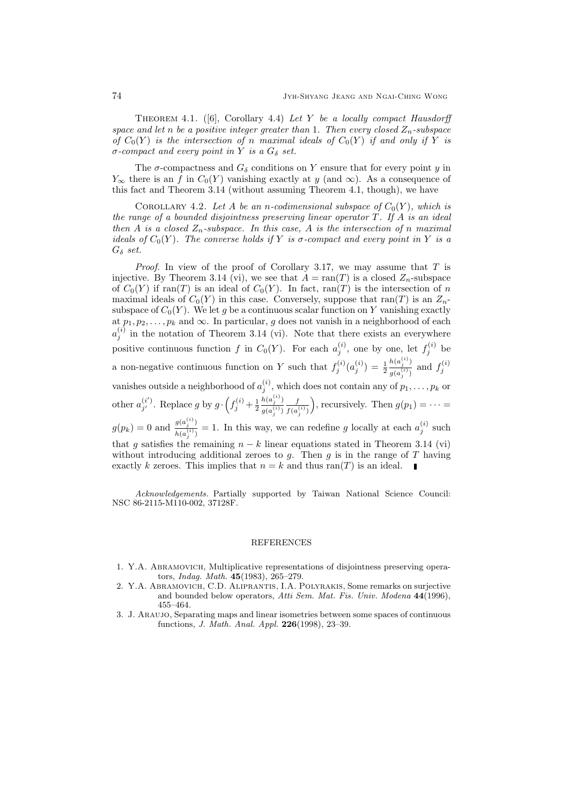THEOREM 4.1. ([6], Corollary 4.4) Let Y be a locally compact Hausdorff space and let n be a positive integer greater than 1. Then every closed  $Z_n$ -subspace of  $C_0(Y)$  is the intersection of n maximal ideals of  $C_0(Y)$  if and only if Y is  $\sigma$ -compact and every point in Y is a  $G_{\delta}$  set.

The  $\sigma$ -compactness and  $G_{\delta}$  conditions on Y ensure that for every point y in  $Y_{\infty}$  there is an f in  $C_0(Y)$  vanishing exactly at y (and  $\infty$ ). As a consequence of this fact and Theorem 3.14 (without assuming Theorem 4.1, though), we have

COROLLARY 4.2. Let A be an n-codimensional subspace of  $C_0(Y)$ , which is the range of a bounded disjointness preserving linear operator  $T$ . If  $A$  is an ideal then A is a closed  $Z_n$ -subspace. In this case, A is the intersection of n maximal ideals of  $C_0(Y)$ . The converse holds if Y is  $\sigma$ -compact and every point in Y is a  $G_{\delta}$  set.

*Proof.* In view of the proof of Corollary 3.17, we may assume that  $T$  is injective. By Theorem 3.14 (vi), we see that  $A = \text{ran}(T)$  is a closed  $Z_n$ -subspace of  $C_0(Y)$  if ran(T) is an ideal of  $C_0(Y)$ . In fact, ran(T) is the intersection of n maximal ideals of  $C_0(Y)$  in this case. Conversely, suppose that ran(T) is an  $Z_n$ subspace of  $C_0(Y)$ . We let g be a continuous scalar function on Y vanishing exactly at  $p_1, p_2, \ldots, p_k$  and  $\infty$ . In particular, g does not vanish in a neighborhood of each  $a_j^{(i)}$  in the notation of Theorem 3.14 (vi). Note that there exists an everywhere positive continuous function f in  $C_0(Y)$ . For each  $a_j^{(i)}$ , one by one, let  $f_j^{(i)}$  be a non-negative continuous function on Y such that  $f_j^{(i)}(a_j^{(i)}) = \frac{1}{2}$  $h(a_j^{(i)})$  $\frac{h(a_j^{(i)})}{g(a_j^{(i)})}$  and  $f_j^{(i)}$ vanishes outside a neighborhood of  $a_j^{(i)}$ , which does not contain any of  $p_1, \ldots, p_k$  or other  $a_{i'}^{(i')}$  $j'$ . Replace g by  $g \cdot \left(f_j^{(i)} + \frac{1}{2}\right)$  $h(a_j^{(i)})$  $g(a_j^{(i)})$ f  $f(a_j^{(i)})$ ), recursively. Then  $g(p_1) = \cdots =$  $g(p_k) = 0$  and  $\frac{g(a_j^{(i)})}{h(a_j^{(i)})}$  $\frac{g(a_j^{(i)})}{h(a_j^{(i)})} = 1$ . In this way, we can redefine g locally at each  $a_j^{(i)}$  such that g satisfies the remaining  $n - k$  linear equations stated in Theorem 3.14 (vi) without introducing additional zeroes to  $g$ . Then  $g$  is in the range of  $T$  having exactly k zeroes. This implies that  $n = k$  and thus ran(T) is an ideal.

Acknowledgements. Partially supported by Taiwan National Science Council: NSC 86-2115-M110-002, 37128F.

#### REFERENCES

- 1. Y.A. Abramovich, Multiplicative representations of disjointness preserving operators, Indag. Math. 45(1983), 265–279.
- 2. Y.A. Abramovich, C.D. Aliprantis, I.A. Polyrakis, Some remarks on surjective and bounded below operators, Atti Sem. Mat. Fis. Univ. Modena 44(1996), 455–464.
- 3. J. Araujo, Separating maps and linear isometries between some spaces of continuous functions, J. Math. Anal. Appl. 226(1998), 23–39.